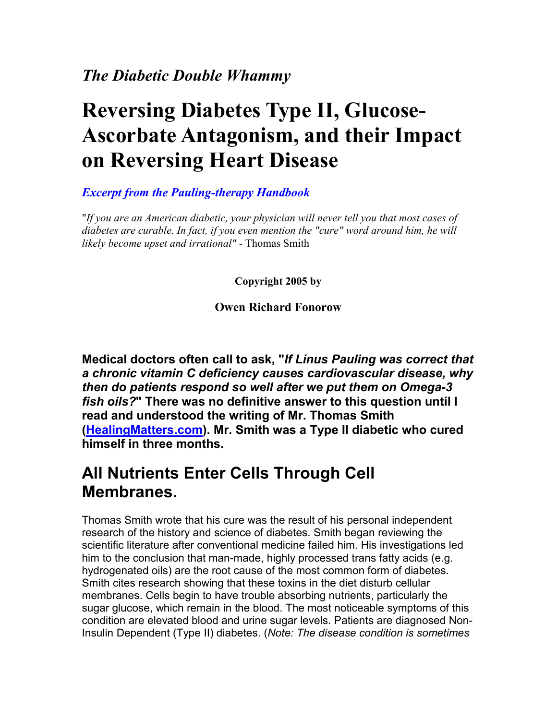# **Reversing Diabetes Type II, Glucose-Ascorbate Antagonism, and their Impact on Reversing Heart Disease**

#### *Excerpt from the Pauling-therapy Handbook*

"*If you are an American diabetic, your physician will never tell you that most cases of diabetes are curable. In fact, if you even mention the "cure" word around him, he will likely become upset and irrational"* - Thomas Smith

**Copyright 2005 by** 

**Owen Richard Fonorow** 

**Medical doctors often call to ask, "***If Linus Pauling was correct that a chronic vitamin C deficiency causes cardiovascular disease, why then do patients respond so well after we put them on Omega-3 fish oils?***" There was no definitive answer to this question until I read and understood the writing of Mr. Thomas Smith [\(HealingMatters.com\)](http://www.healingmatters.com/). Mr. Smith was a Type II diabetic who cured himself in three months.** 

### **All Nutrients Enter Cells Through Cell Membranes.**

Thomas Smith wrote that his cure was the result of his personal independent research of the history and science of diabetes. Smith began reviewing the scientific literature after conventional medicine failed him. His investigations led him to the conclusion that man-made, highly processed trans fatty acids (e.g. hydrogenated oils) are the root cause of the most common form of diabetes. Smith cites research showing that these toxins in the diet disturb cellular membranes. Cells begin to have trouble absorbing nutrients, particularly the sugar glucose, which remain in the blood. The most noticeable symptoms of this condition are elevated blood and urine sugar levels. Patients are diagnosed Non-Insulin Dependent (Type II) diabetes. (*Note: The disease condition is sometimes*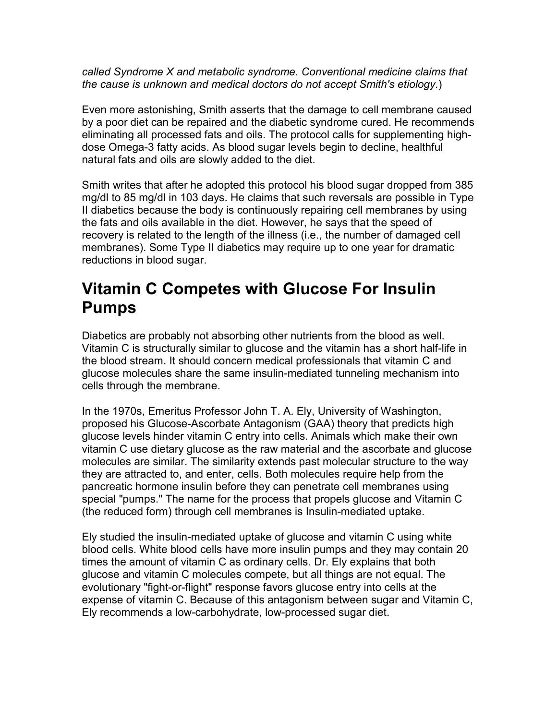*called Syndrome X and metabolic syndrome. Conventional medicine claims that the cause is unknown and medical doctors do not accept Smith's etiology.*)

Even more astonishing, Smith asserts that the damage to cell membrane caused by a poor diet can be repaired and the diabetic syndrome cured. He recommends eliminating all processed fats and oils. The protocol calls for supplementing highdose Omega-3 fatty acids. As blood sugar levels begin to decline, healthful natural fats and oils are slowly added to the diet.

Smith writes that after he adopted this protocol his blood sugar dropped from 385 mg/dl to 85 mg/dl in 103 days. He claims that such reversals are possible in Type II diabetics because the body is continuously repairing cell membranes by using the fats and oils available in the diet. However, he says that the speed of recovery is related to the length of the illness (i.e., the number of damaged cell membranes). Some Type II diabetics may require up to one year for dramatic reductions in blood sugar.

### **Vitamin C Competes with Glucose For Insulin Pumps**

Diabetics are probably not absorbing other nutrients from the blood as well. Vitamin C is structurally similar to glucose and the vitamin has a short half-life in the blood stream. It should concern medical professionals that vitamin C and glucose molecules share the same insulin-mediated tunneling mechanism into cells through the membrane.

In the 1970s, Emeritus Professor John T. A. Ely, University of Washington, proposed his Glucose-Ascorbate Antagonism (GAA) theory that predicts high glucose levels hinder vitamin C entry into cells. Animals which make their own vitamin C use dietary glucose as the raw material and the ascorbate and glucose molecules are similar. The similarity extends past molecular structure to the way they are attracted to, and enter, cells. Both molecules require help from the pancreatic hormone insulin before they can penetrate cell membranes using special "pumps." The name for the process that propels glucose and Vitamin C (the reduced form) through cell membranes is Insulin-mediated uptake.

Ely studied the insulin-mediated uptake of glucose and vitamin C using white blood cells. White blood cells have more insulin pumps and they may contain 20 times the amount of vitamin C as ordinary cells. Dr. Ely explains that both glucose and vitamin C molecules compete, but all things are not equal. The evolutionary "fight-or-flight" response favors glucose entry into cells at the expense of vitamin C. Because of this antagonism between sugar and Vitamin C, Ely recommends a low-carbohydrate, low-processed sugar diet.